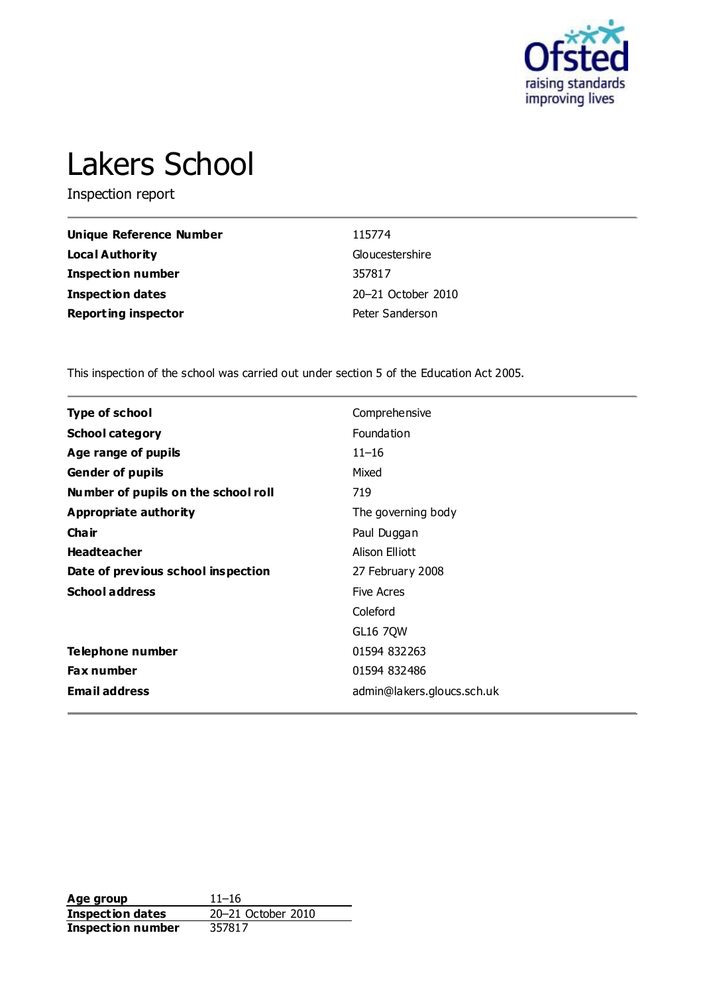

# Lakers School

Inspection report

| Unique Reference Number    | 115774             |
|----------------------------|--------------------|
| <b>Local Authority</b>     | Gloucestershire    |
| Inspection number          | 357817             |
| <b>Inspection dates</b>    | 20–21 October 2010 |
| <b>Reporting inspector</b> | Peter Sanderson    |

This inspection of the school was carried out under section 5 of the Education Act 2005.

| <b>Type of school</b>               | Comprehensive              |
|-------------------------------------|----------------------------|
| <b>School category</b>              | Foundation                 |
| Age range of pupils                 | $11 - 16$                  |
| <b>Gender of pupils</b>             | Mixed                      |
| Number of pupils on the school roll | 719                        |
| Appropriate authority               | The governing body         |
| Cha ir                              | Paul Duggan                |
| <b>Headteacher</b>                  | Alison Elliott             |
| Date of previous school inspection  | 27 February 2008           |
| <b>School address</b>               | <b>Five Acres</b>          |
|                                     | Coleford                   |
|                                     | <b>GL16 7QW</b>            |
| Telephone number                    | 01594 832263               |
| <b>Fax number</b>                   | 01594 832486               |
| <b>Email address</b>                | admin@lakers.gloucs.sch.uk |

**Age group** 11–16<br> **Inspection dates** 20–21 October 2010 **Inspection dates** 20–21 October 2010 **Inspection number** 357817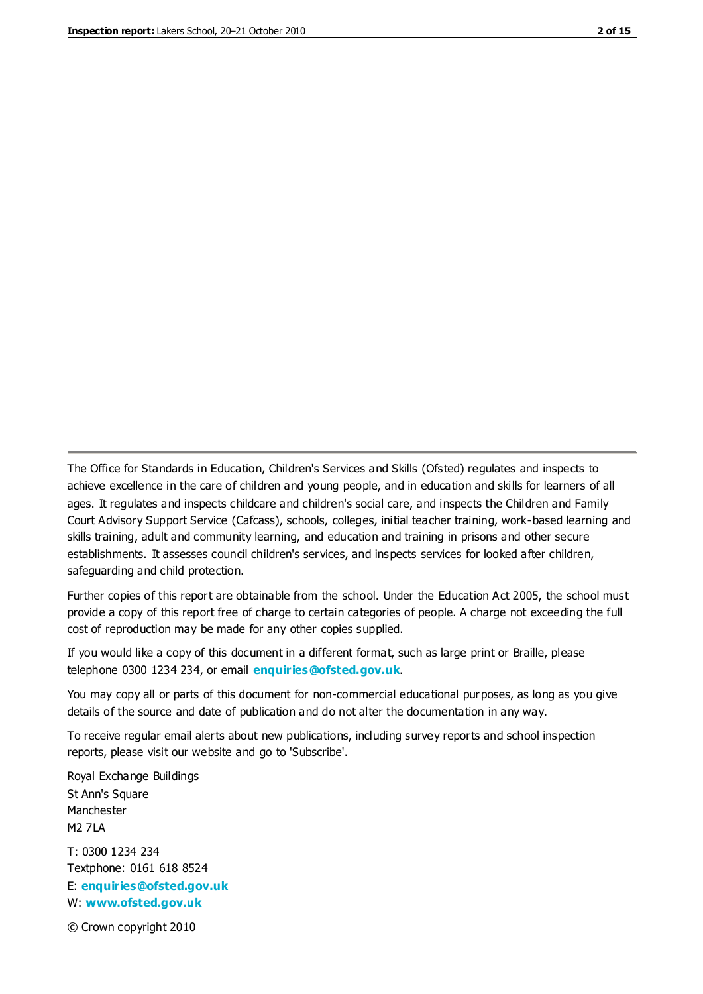The Office for Standards in Education, Children's Services and Skills (Ofsted) regulates and inspects to achieve excellence in the care of children and young people, and in education and skills for learners of all ages. It regulates and inspects childcare and children's social care, and inspects the Children and Family Court Advisory Support Service (Cafcass), schools, colleges, initial teacher training, work-based learning and skills training, adult and community learning, and education and training in prisons and other secure establishments. It assesses council children's services, and inspects services for looked after children, safeguarding and child protection.

Further copies of this report are obtainable from the school. Under the Education Act 2005, the school must provide a copy of this report free of charge to certain categories of people. A charge not exceeding the full cost of reproduction may be made for any other copies supplied.

If you would like a copy of this document in a different format, such as large print or Braille, please telephone 0300 1234 234, or email **[enquiries@ofsted.gov.uk](mailto:enquiries@ofsted.gov.uk)**.

You may copy all or parts of this document for non-commercial educational purposes, as long as you give details of the source and date of publication and do not alter the documentation in any way.

To receive regular email alerts about new publications, including survey reports and school inspection reports, please visit our website and go to 'Subscribe'.

Royal Exchange Buildings St Ann's Square Manchester M2 7LA T: 0300 1234 234 Textphone: 0161 618 8524 E: **[enquiries@ofsted.gov.uk](mailto:enquiries@ofsted.gov.uk)**

W: **[www.ofsted.gov.uk](http://www.ofsted.gov.uk/)**

© Crown copyright 2010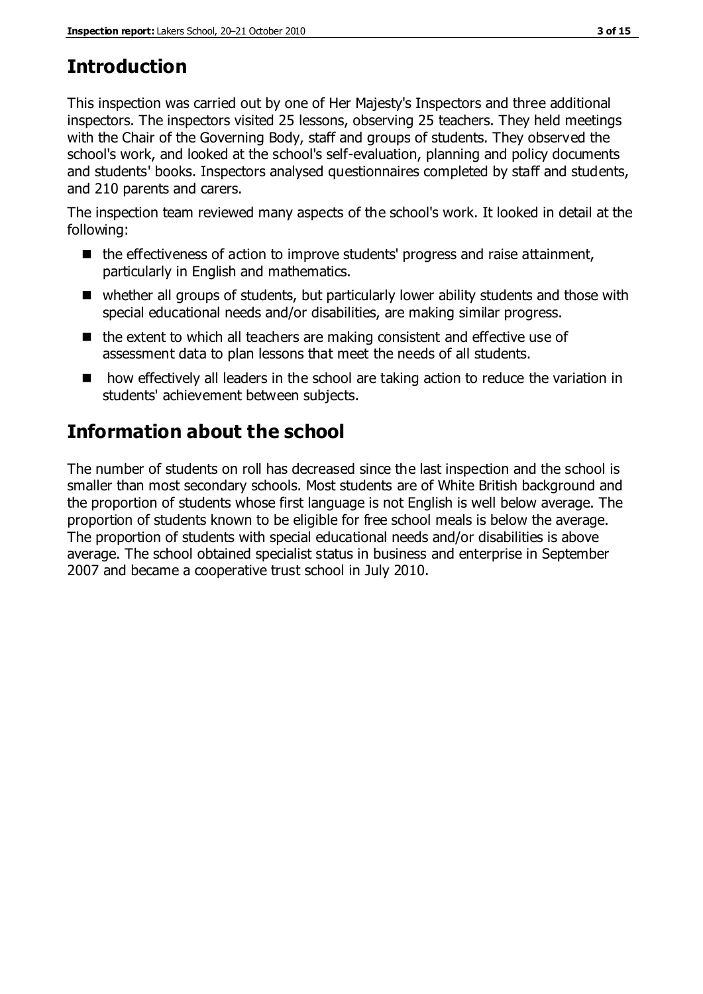# **Introduction**

This inspection was carried out by one of Her Majesty's Inspectors and three additional inspectors. The inspectors visited 25 lessons, observing 25 teachers. They held meetings with the Chair of the Governing Body, staff and groups of students. They observed the school's work, and looked at the school's self-evaluation, planning and policy documents and students' books. Inspectors analysed questionnaires completed by staff and students, and 210 parents and carers.

The inspection team reviewed many aspects of the school's work. It looked in detail at the following:

- $\blacksquare$  the effectiveness of action to improve students' progress and raise attainment, particularly in English and mathematics.
- whether all groups of students, but particularly lower ability students and those with special educational needs and/or disabilities, are making similar progress.
- $\blacksquare$  the extent to which all teachers are making consistent and effective use of assessment data to plan lessons that meet the needs of all students.
- how effectively all leaders in the school are taking action to reduce the variation in students' achievement between subjects.

# **Information about the school**

The number of students on roll has decreased since the last inspection and the school is smaller than most secondary schools. Most students are of White British background and the proportion of students whose first language is not English is well below average. The proportion of students known to be eligible for free school meals is below the average. The proportion of students with special educational needs and/or disabilities is above average. The school obtained specialist status in business and enterprise in September 2007 and became a cooperative trust school in July 2010.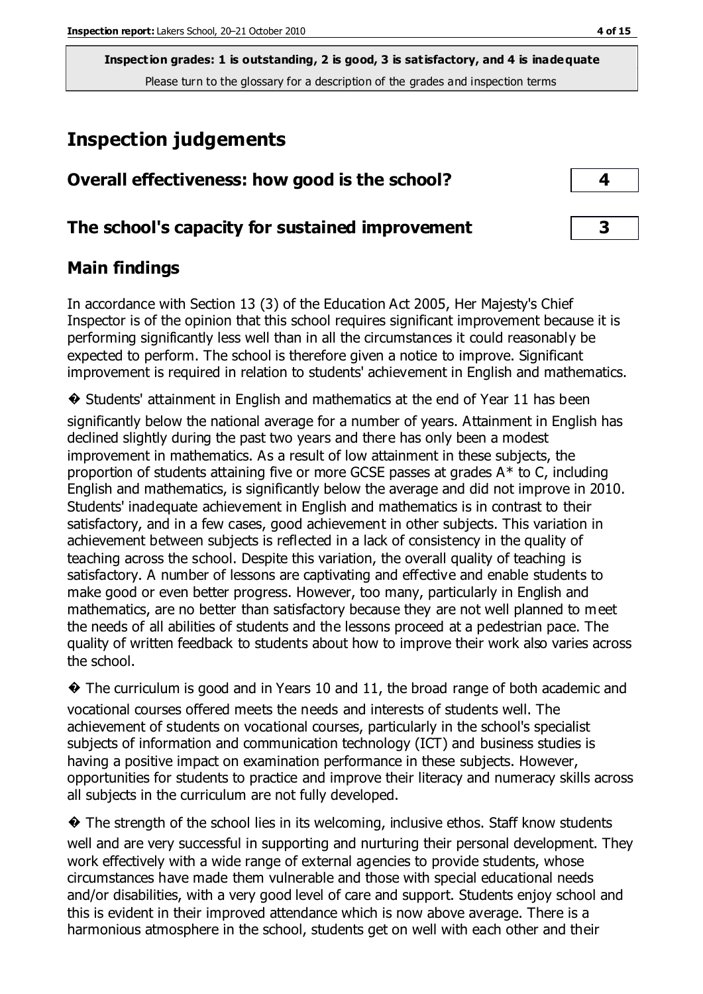## **Inspection judgements**

| Overall effectiveness: how good is the school?  |  |
|-------------------------------------------------|--|
| The school's capacity for sustained improvement |  |

## **Main findings**

In accordance with Section 13 (3) of the Education Act 2005, Her Majesty's Chief Inspector is of the opinion that this school requires significant improvement because it is performing significantly less well than in all the circumstances it could reasonably be expected to perform. The school is therefore given a notice to improve. Significant improvement is required in relation to students' achievement in English and mathematics.

� Students' attainment in English and mathematics at the end of Year 11 has been significantly below the national average for a number of years. Attainment in English has declined slightly during the past two years and there has only been a modest improvement in mathematics. As a result of low attainment in these subjects, the proportion of students attaining five or more GCSE passes at grades A\* to C, including English and mathematics, is significantly below the average and did not improve in 2010. Students' inadequate achievement in English and mathematics is in contrast to their satisfactory, and in a few cases, good achievement in other subjects. This variation in achievement between subjects is reflected in a lack of consistency in the quality of teaching across the school. Despite this variation, the overall quality of teaching is satisfactory. A number of lessons are captivating and effective and enable students to make good or even better progress. However, too many, particularly in English and mathematics, are no better than satisfactory because they are not well planned to meet the needs of all abilities of students and the lessons proceed at a pedestrian pace. The quality of written feedback to students about how to improve their work also varies across the school.

� The curriculum is good and in Years 10 and 11, the broad range of both academic and vocational courses offered meets the needs and interests of students well. The achievement of students on vocational courses, particularly in the school's specialist subjects of information and communication technology (ICT) and business studies is having a positive impact on examination performance in these subjects. However, opportunities for students to practice and improve their literacy and numeracy skills across all subjects in the curriculum are not fully developed.

� The strength of the school lies in its welcoming, inclusive ethos. Staff know students well and are very successful in supporting and nurturing their personal development. They work effectively with a wide range of external agencies to provide students, whose circumstances have made them vulnerable and those with special educational needs and/or disabilities, with a very good level of care and support. Students enjoy school and this is evident in their improved attendance which is now above average. There is a harmonious atmosphere in the school, students get on well with each other and their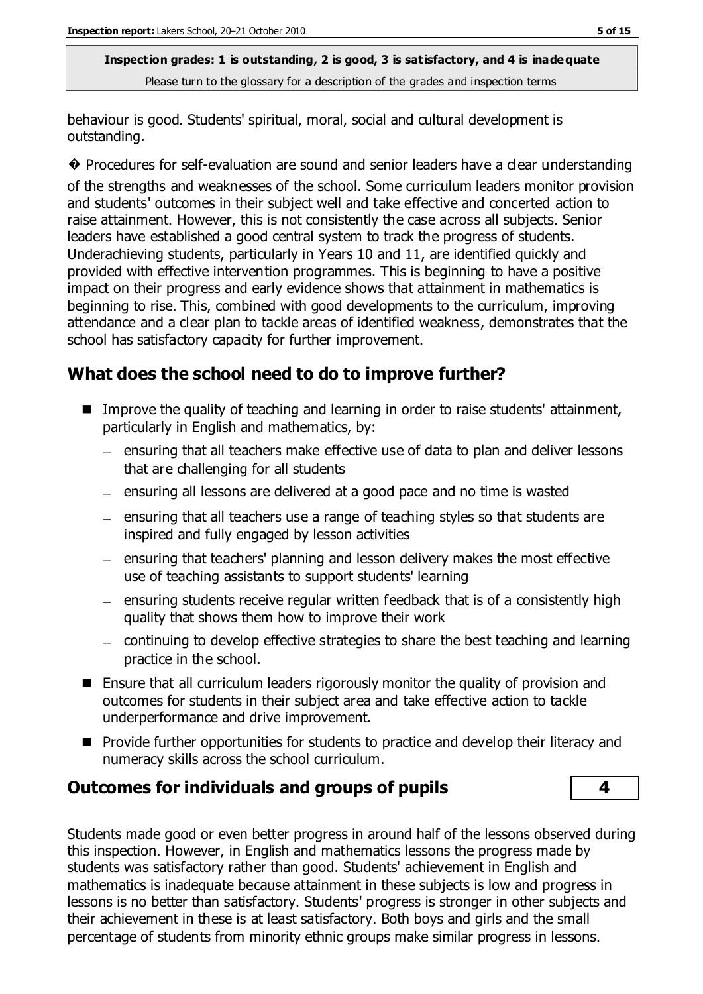behaviour is good. Students' spiritual, moral, social and cultural development is outstanding.

� Procedures for self-evaluation are sound and senior leaders have a clear understanding

of the strengths and weaknesses of the school. Some curriculum leaders monitor provision and students' outcomes in their subject well and take effective and concerted action to raise attainment. However, this is not consistently the case across all subjects. Senior leaders have established a good central system to track the progress of students. Underachieving students, particularly in Years 10 and 11, are identified quickly and provided with effective intervention programmes. This is beginning to have a positive impact on their progress and early evidence shows that attainment in mathematics is beginning to rise. This, combined with good developments to the curriculum, improving attendance and a clear plan to tackle areas of identified weakness, demonstrates that the school has satisfactory capacity for further improvement.

## **What does the school need to do to improve further?**

- Improve the quality of teaching and learning in order to raise students' attainment, particularly in English and mathematics, by:
	- ensuring that all teachers make effective use of data to plan and deliver lessons that are challenging for all students
	- $-$  ensuring all lessons are delivered at a good pace and no time is wasted
	- $-$  ensuring that all teachers use a range of teaching styles so that students are inspired and fully engaged by lesson activities
	- $-$  ensuring that teachers' planning and lesson delivery makes the most effective use of teaching assistants to support students' learning
	- $=$  ensuring students receive regular written feedback that is of a consistently high quality that shows them how to improve their work
	- continuing to develop effective strategies to share the best teaching and learning practice in the school.
- Ensure that all curriculum leaders rigorously monitor the quality of provision and outcomes for students in their subject area and take effective action to tackle underperformance and drive improvement.
- **Provide further opportunities for students to practice and develop their literacy and** numeracy skills across the school curriculum.

## **Outcomes for individuals and groups of pupils 4**

Students made good or even better progress in around half of the lessons observed during this inspection. However, in English and mathematics lessons the progress made by students was satisfactory rather than good. Students' achievement in English and mathematics is inadequate because attainment in these subjects is low and progress in lessons is no better than satisfactory. Students' progress is stronger in other subjects and their achievement in these is at least satisfactory. Both boys and girls and the small percentage of students from minority ethnic groups make similar progress in lessons.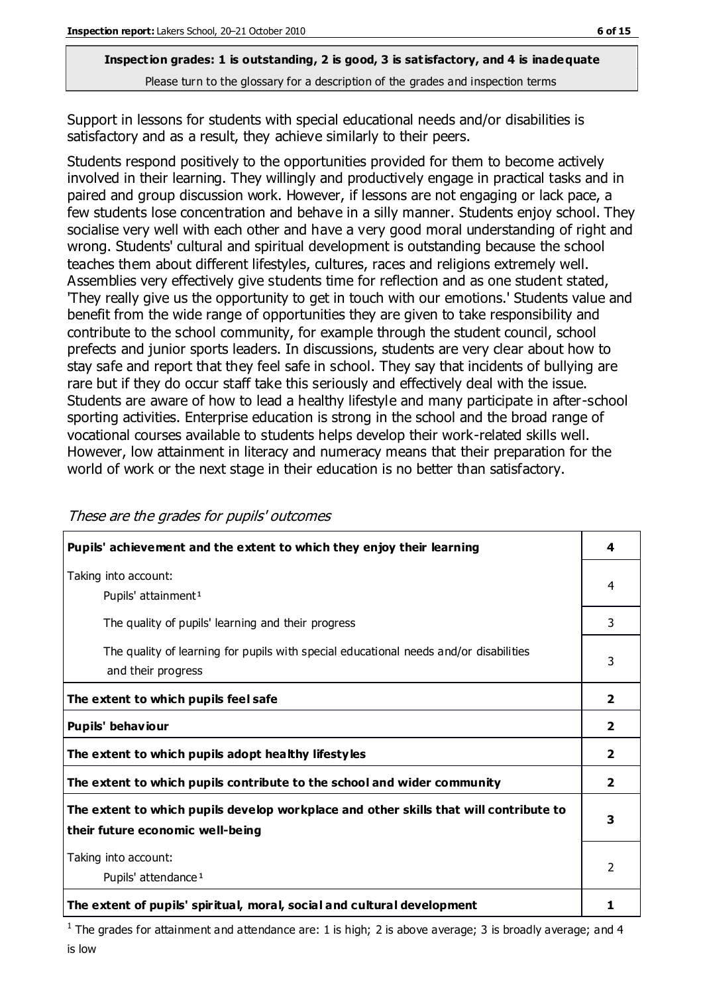Support in lessons for students with special educational needs and/or disabilities is satisfactory and as a result, they achieve similarly to their peers.

Students respond positively to the opportunities provided for them to become actively involved in their learning. They willingly and productively engage in practical tasks and in paired and group discussion work. However, if lessons are not engaging or lack pace, a few students lose concentration and behave in a silly manner. Students enjoy school. They socialise very well with each other and have a very good moral understanding of right and wrong. Students' cultural and spiritual development is outstanding because the school teaches them about different lifestyles, cultures, races and religions extremely well. Assemblies very effectively give students time for reflection and as one student stated, 'They really give us the opportunity to get in touch with our emotions.' Students value and benefit from the wide range of opportunities they are given to take responsibility and contribute to the school community, for example through the student council, school prefects and junior sports leaders. In discussions, students are very clear about how to stay safe and report that they feel safe in school. They say that incidents of bullying are rare but if they do occur staff take this seriously and effectively deal with the issue. Students are aware of how to lead a healthy lifestyle and many participate in after-school sporting activities. Enterprise education is strong in the school and the broad range of vocational courses available to students helps develop their work-related skills well. However, low attainment in literacy and numeracy means that their preparation for the world of work or the next stage in their education is no better than satisfactory.

| Pupils' achievement and the extent to which they enjoy their learning                                                     | 4              |
|---------------------------------------------------------------------------------------------------------------------------|----------------|
| Taking into account:<br>Pupils' attainment <sup>1</sup>                                                                   | 4              |
| The quality of pupils' learning and their progress                                                                        | 3              |
| The quality of learning for pupils with special educational needs and/or disabilities<br>and their progress               |                |
| The extent to which pupils feel safe                                                                                      | $\overline{2}$ |
| Pupils' behaviour                                                                                                         | $\overline{2}$ |
| The extent to which pupils adopt healthy lifestyles                                                                       | $\mathbf{2}$   |
| The extent to which pupils contribute to the school and wider community                                                   | $\overline{2}$ |
| The extent to which pupils develop workplace and other skills that will contribute to<br>their future economic well-being | 3              |
| Taking into account:<br>Pupils' attendance <sup>1</sup>                                                                   | $\mathcal{P}$  |
| The extent of pupils' spiritual, moral, social and cultural development                                                   |                |

These are the grades for pupils' outcomes

<sup>1</sup> The grades for attainment and attendance are: 1 is high; 2 is above average; 3 is broadly average; and 4 is low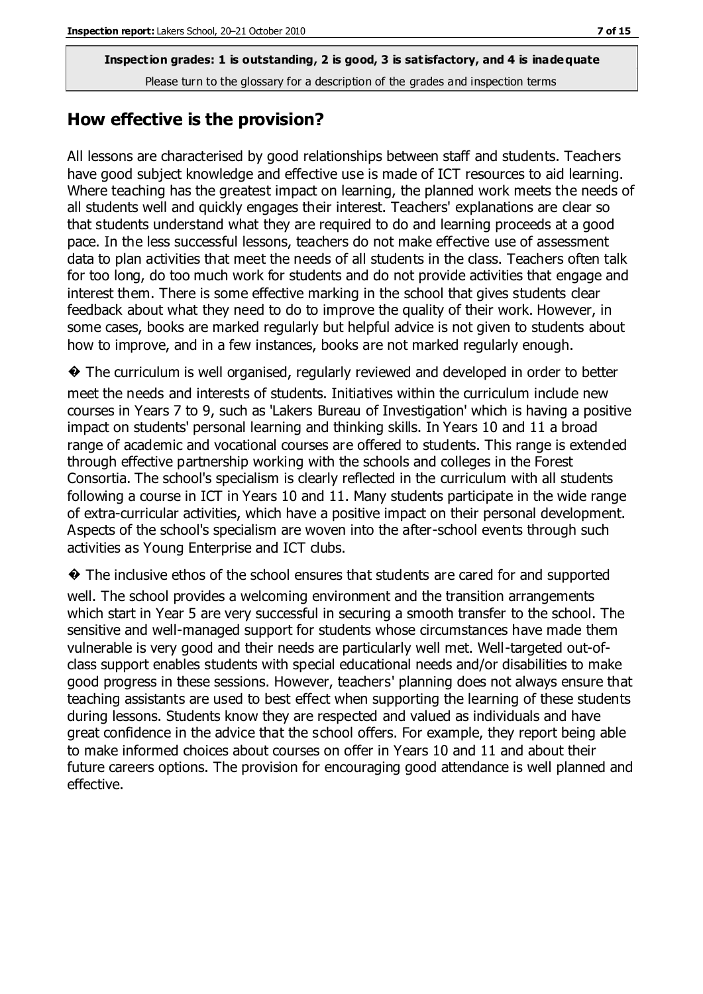#### **How effective is the provision?**

All lessons are characterised by good relationships between staff and students. Teachers have good subject knowledge and effective use is made of ICT resources to aid learning. Where teaching has the greatest impact on learning, the planned work meets the needs of all students well and quickly engages their interest. Teachers' explanations are clear so that students understand what they are required to do and learning proceeds at a good pace. In the less successful lessons, teachers do not make effective use of assessment data to plan activities that meet the needs of all students in the class. Teachers often talk for too long, do too much work for students and do not provide activities that engage and interest them. There is some effective marking in the school that gives students clear feedback about what they need to do to improve the quality of their work. However, in some cases, books are marked regularly but helpful advice is not given to students about how to improve, and in a few instances, books are not marked regularly enough.

� The curriculum is well organised, regularly reviewed and developed in order to better meet the needs and interests of students. Initiatives within the curriculum include new courses in Years 7 to 9, such as 'Lakers Bureau of Investigation' which is having a positive impact on students' personal learning and thinking skills. In Years 10 and 11 a broad range of academic and vocational courses are offered to students. This range is extended through effective partnership working with the schools and colleges in the Forest Consortia. The school's specialism is clearly reflected in the curriculum with all students following a course in ICT in Years 10 and 11. Many students participate in the wide range of extra-curricular activities, which have a positive impact on their personal development. Aspects of the school's specialism are woven into the after-school events through such activities as Young Enterprise and ICT clubs.

� The inclusive ethos of the school ensures that students are cared for and supported well. The school provides a welcoming environment and the transition arrangements which start in Year 5 are very successful in securing a smooth transfer to the school. The sensitive and well-managed support for students whose circumstances have made them vulnerable is very good and their needs are particularly well met. Well-targeted out-ofclass support enables students with special educational needs and/or disabilities to make good progress in these sessions. However, teachers' planning does not always ensure that teaching assistants are used to best effect when supporting the learning of these students during lessons. Students know they are respected and valued as individuals and have great confidence in the advice that the school offers. For example, they report being able to make informed choices about courses on offer in Years 10 and 11 and about their future careers options. The provision for encouraging good attendance is well planned and effective.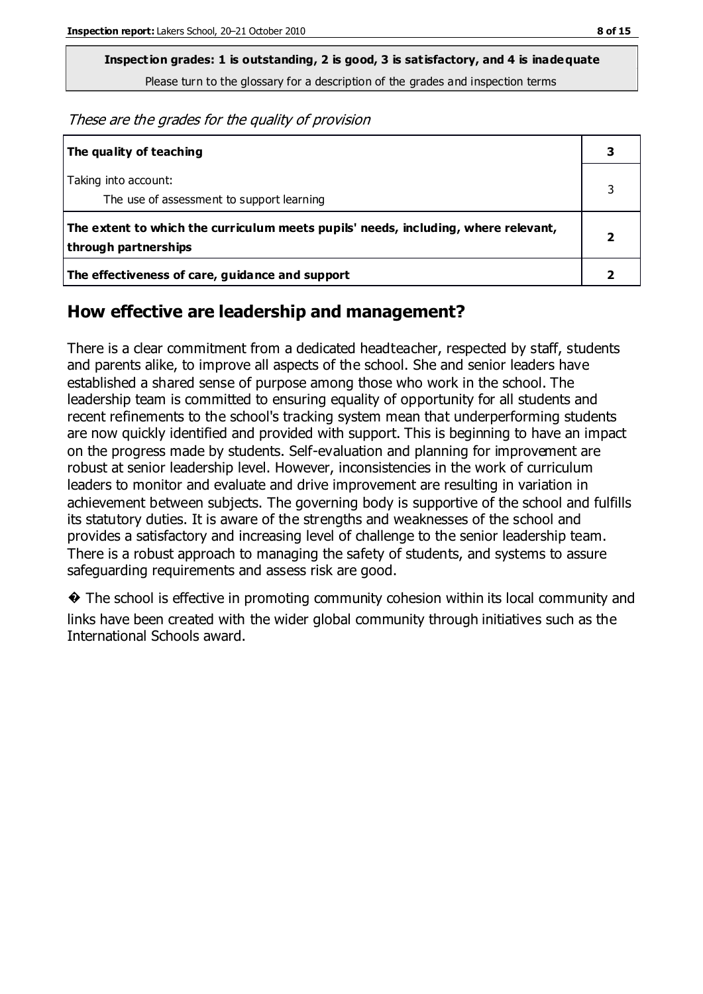**Inspection grades: 1 is outstanding, 2 is good, 3 is satisfactory, and 4 is inadequate**

Please turn to the glossary for a description of the grades and inspection terms

These are the grades for the quality of provision

| The quality of teaching                                                                                    |   |
|------------------------------------------------------------------------------------------------------------|---|
| Taking into account:<br>The use of assessment to support learning                                          |   |
| The extent to which the curriculum meets pupils' needs, including, where relevant,<br>through partnerships | 7 |
| The effectiveness of care, guidance and support                                                            |   |

## **How effective are leadership and management?**

There is a clear commitment from a dedicated headteacher, respected by staff, students and parents alike, to improve all aspects of the school. She and senior leaders have established a shared sense of purpose among those who work in the school. The leadership team is committed to ensuring equality of opportunity for all students and recent refinements to the school's tracking system mean that underperforming students are now quickly identified and provided with support. This is beginning to have an impact on the progress made by students. Self-evaluation and planning for improvement are robust at senior leadership level. However, inconsistencies in the work of curriculum leaders to monitor and evaluate and drive improvement are resulting in variation in achievement between subjects. The governing body is supportive of the school and fulfills its statutory duties. It is aware of the strengths and weaknesses of the school and provides a satisfactory and increasing level of challenge to the senior leadership team. There is a robust approach to managing the safety of students, and systems to assure safeguarding requirements and assess risk are good.

� The school is effective in promoting community cohesion within its local community and links have been created with the wider global community through initiatives such as the International Schools award.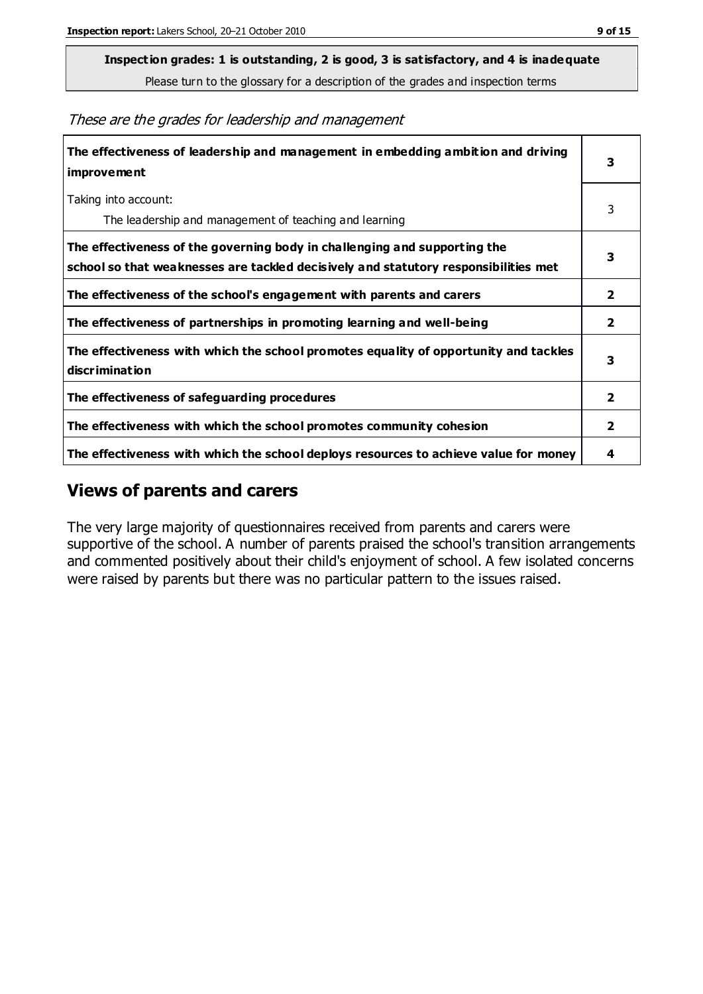**Inspection grades: 1 is outstanding, 2 is good, 3 is satisfactory, and 4 is inadequate**

Please turn to the glossary for a description of the grades and inspection terms

These are the grades for leadership and management

| The effectiveness of leadership and management in embedding ambition and driving<br>improvement                                                                  | 3                       |
|------------------------------------------------------------------------------------------------------------------------------------------------------------------|-------------------------|
| Taking into account:<br>The leadership and management of teaching and learning                                                                                   | 3                       |
| The effectiveness of the governing body in challenging and supporting the<br>school so that weaknesses are tackled decisively and statutory responsibilities met | 3                       |
| The effectiveness of the school's engagement with parents and carers                                                                                             | 2                       |
| The effectiveness of partnerships in promoting learning and well-being                                                                                           | $\overline{\mathbf{2}}$ |
| The effectiveness with which the school promotes equality of opportunity and tackles<br>discrimination                                                           | 3                       |
| The effectiveness of safeguarding procedures                                                                                                                     | 2                       |
| The effectiveness with which the school promotes community cohesion                                                                                              | $\overline{2}$          |
| The effectiveness with which the school deploys resources to achieve value for money                                                                             | 4                       |

#### **Views of parents and carers**

The very large majority of questionnaires received from parents and carers were supportive of the school. A number of parents praised the school's transition arrangements and commented positively about their child's enjoyment of school. A few isolated concerns were raised by parents but there was no particular pattern to the issues raised.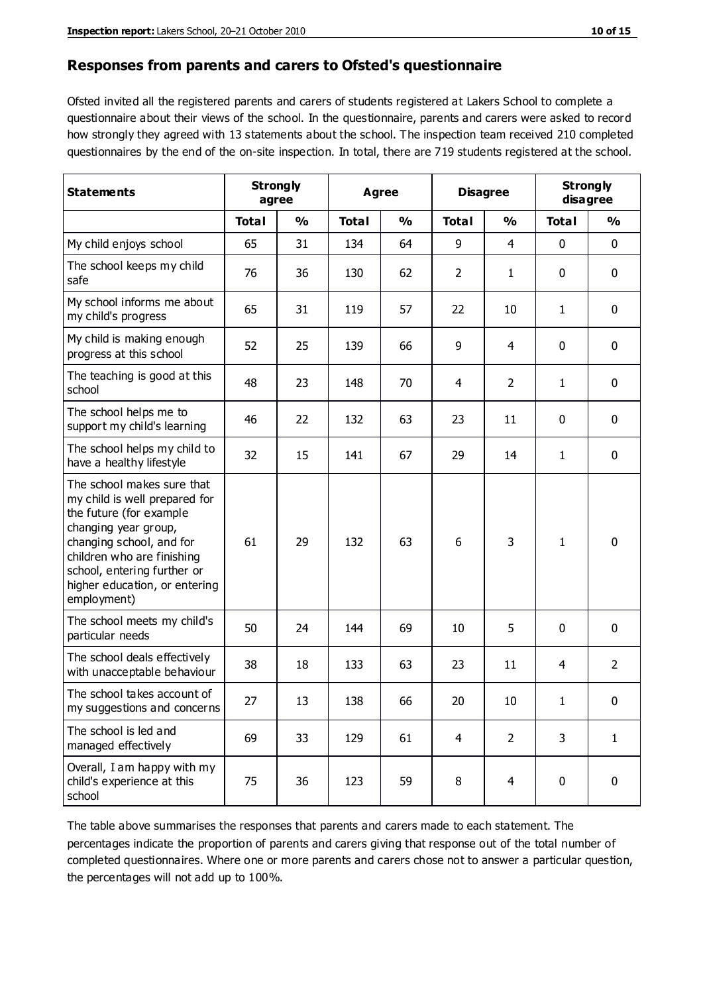#### **Responses from parents and carers to Ofsted's questionnaire**

Ofsted invited all the registered parents and carers of students registered at Lakers School to complete a questionnaire about their views of the school. In the questionnaire, parents and carers were asked to record how strongly they agreed with 13 statements about the school. The inspection team received 210 completed questionnaires by the end of the on-site inspection. In total, there are 719 students registered at the school.

| <b>Statements</b>                                                                                                                                                                                                                                       | <b>Strongly</b><br>agree |               | Agree        |               | <b>Disagree</b>          |                | <b>Strongly</b><br>disagree |                |
|---------------------------------------------------------------------------------------------------------------------------------------------------------------------------------------------------------------------------------------------------------|--------------------------|---------------|--------------|---------------|--------------------------|----------------|-----------------------------|----------------|
|                                                                                                                                                                                                                                                         | <b>Total</b>             | $\frac{1}{2}$ | <b>Total</b> | $\frac{1}{2}$ | <b>Total</b>             | $\frac{1}{2}$  | <b>Total</b>                | %              |
| My child enjoys school                                                                                                                                                                                                                                  | 65                       | 31            | 134          | 64            | 9                        | 4              | 0                           | 0              |
| The school keeps my child<br>safe                                                                                                                                                                                                                       | 76                       | 36            | 130          | 62            | $\overline{2}$           | 1              | 0                           | $\mathbf 0$    |
| My school informs me about<br>my child's progress                                                                                                                                                                                                       | 65                       | 31            | 119          | 57            | 22                       | 10             | 1                           | $\mathbf 0$    |
| My child is making enough<br>progress at this school                                                                                                                                                                                                    | 52                       | 25            | 139          | 66            | 9                        | 4              | $\mathbf 0$                 | $\mathbf 0$    |
| The teaching is good at this<br>school                                                                                                                                                                                                                  | 48                       | 23            | 148          | 70            | $\overline{\mathcal{A}}$ | $\overline{2}$ | 1                           | $\mathbf 0$    |
| The school helps me to<br>support my child's learning                                                                                                                                                                                                   | 46                       | 22            | 132          | 63            | 23                       | 11             | $\mathbf 0$                 | $\mathbf 0$    |
| The school helps my child to<br>have a healthy lifestyle                                                                                                                                                                                                | 32                       | 15            | 141          | 67            | 29                       | 14             | 1                           | 0              |
| The school makes sure that<br>my child is well prepared for<br>the future (for example<br>changing year group,<br>changing school, and for<br>children who are finishing<br>school, entering further or<br>higher education, or entering<br>employment) | 61                       | 29            | 132          | 63            | 6                        | 3              | 1                           | $\mathbf 0$    |
| The school meets my child's<br>particular needs                                                                                                                                                                                                         | 50                       | 24            | 144          | 69            | 10                       | 5              | $\mathbf 0$                 | $\mathbf 0$    |
| The school deals effectively<br>with unacceptable behaviour                                                                                                                                                                                             | 38                       | 18            | 133          | 63            | 23                       | 11             | 4                           | $\overline{2}$ |
| The school takes account of<br>my suggestions and concerns                                                                                                                                                                                              | 27                       | 13            | 138          | 66            | 20                       | $10\,$         | 1                           | 0              |
| The school is led and<br>managed effectively                                                                                                                                                                                                            | 69                       | 33            | 129          | 61            | $\overline{4}$           | $\overline{2}$ | 3                           | $\mathbf{1}$   |
| Overall, I am happy with my<br>child's experience at this<br>school                                                                                                                                                                                     | 75                       | 36            | 123          | 59            | 8                        | 4              | $\mathbf 0$                 | $\mathbf 0$    |

The table above summarises the responses that parents and carers made to each statement. The percentages indicate the proportion of parents and carers giving that response out of the total number of completed questionnaires. Where one or more parents and carers chose not to answer a particular question, the percentages will not add up to 100%.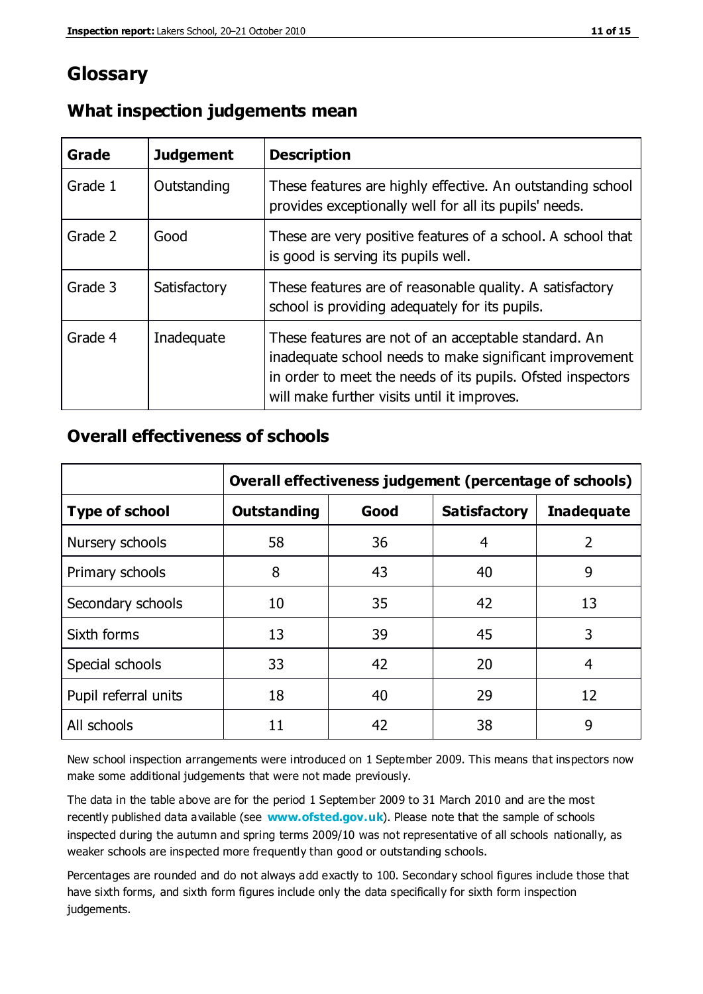## **Glossary**

| Grade   | <b>Judgement</b> | <b>Description</b>                                                                                                                                                                                                            |
|---------|------------------|-------------------------------------------------------------------------------------------------------------------------------------------------------------------------------------------------------------------------------|
| Grade 1 | Outstanding      | These features are highly effective. An outstanding school<br>provides exceptionally well for all its pupils' needs.                                                                                                          |
| Grade 2 | Good             | These are very positive features of a school. A school that<br>is good is serving its pupils well.                                                                                                                            |
| Grade 3 | Satisfactory     | These features are of reasonable quality. A satisfactory<br>school is providing adequately for its pupils.                                                                                                                    |
| Grade 4 | Inadequate       | These features are not of an acceptable standard. An<br>inadequate school needs to make significant improvement<br>in order to meet the needs of its pupils. Ofsted inspectors<br>will make further visits until it improves. |

#### **What inspection judgements mean**

#### **Overall effectiveness of schools**

|                       | Overall effectiveness judgement (percentage of schools) |      |                     |                   |
|-----------------------|---------------------------------------------------------|------|---------------------|-------------------|
| <b>Type of school</b> | <b>Outstanding</b>                                      | Good | <b>Satisfactory</b> | <b>Inadequate</b> |
| Nursery schools       | 58                                                      | 36   | 4                   | 2                 |
| Primary schools       | 8                                                       | 43   | 40                  | 9                 |
| Secondary schools     | 10                                                      | 35   | 42                  | 13                |
| Sixth forms           | 13                                                      | 39   | 45                  | 3                 |
| Special schools       | 33                                                      | 42   | 20                  | 4                 |
| Pupil referral units  | 18                                                      | 40   | 29                  | 12                |
| All schools           | 11                                                      | 42   | 38                  | 9                 |

New school inspection arrangements were introduced on 1 September 2009. This means that inspectors now make some additional judgements that were not made previously.

The data in the table above are for the period 1 September 2009 to 31 March 2010 and are the most recently published data available (see **[www.ofsted.gov.uk](http://www.ofsted.gov.uk/)**). Please note that the sample of schools inspected during the autumn and spring terms 2009/10 was not representative of all schools nationally, as weaker schools are inspected more frequently than good or outstanding schools.

Percentages are rounded and do not always add exactly to 100. Secondary school figures include those that have sixth forms, and sixth form figures include only the data specifically for sixth form inspection judgements.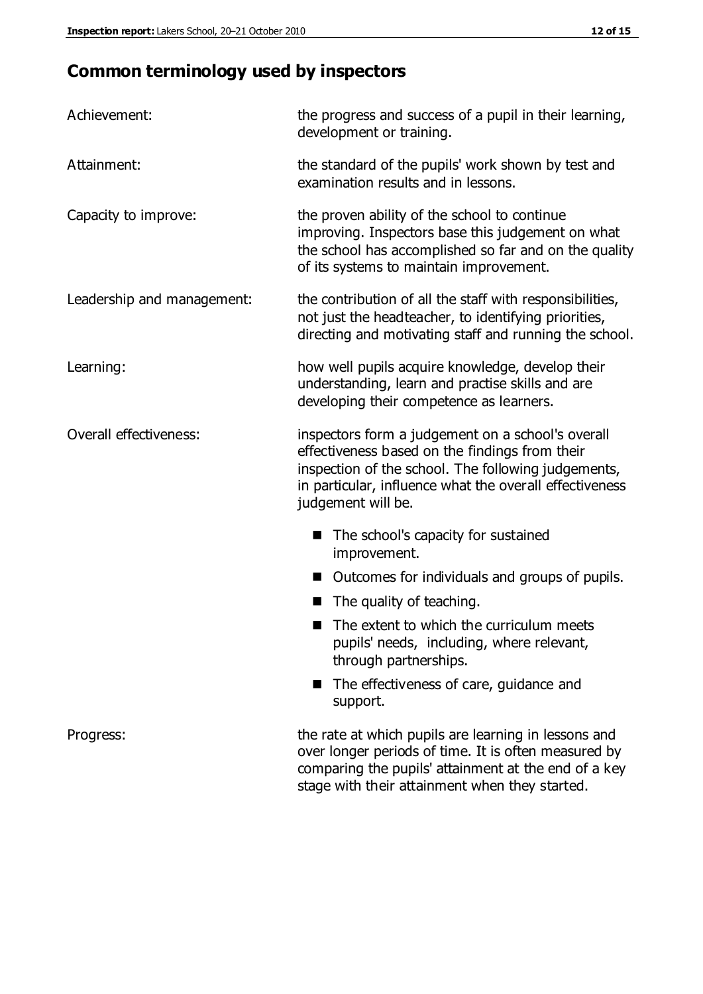## **Common terminology used by inspectors**

| Achievement:               | the progress and success of a pupil in their learning,<br>development or training.                                                                                                                                                          |  |  |
|----------------------------|---------------------------------------------------------------------------------------------------------------------------------------------------------------------------------------------------------------------------------------------|--|--|
| Attainment:                | the standard of the pupils' work shown by test and<br>examination results and in lessons.                                                                                                                                                   |  |  |
| Capacity to improve:       | the proven ability of the school to continue<br>improving. Inspectors base this judgement on what<br>the school has accomplished so far and on the quality<br>of its systems to maintain improvement.                                       |  |  |
| Leadership and management: | the contribution of all the staff with responsibilities,<br>not just the headteacher, to identifying priorities,<br>directing and motivating staff and running the school.                                                                  |  |  |
| Learning:                  | how well pupils acquire knowledge, develop their<br>understanding, learn and practise skills and are<br>developing their competence as learners.                                                                                            |  |  |
| Overall effectiveness:     | inspectors form a judgement on a school's overall<br>effectiveness based on the findings from their<br>inspection of the school. The following judgements,<br>in particular, influence what the overall effectiveness<br>judgement will be. |  |  |
|                            | The school's capacity for sustained<br>improvement.                                                                                                                                                                                         |  |  |
|                            | Outcomes for individuals and groups of pupils.                                                                                                                                                                                              |  |  |
|                            | The quality of teaching.                                                                                                                                                                                                                    |  |  |
|                            | The extent to which the curriculum meets<br>pupils' needs, including, where relevant,<br>through partnerships.                                                                                                                              |  |  |
|                            | The effectiveness of care, guidance and<br>support.                                                                                                                                                                                         |  |  |
| Progress:                  | the rate at which pupils are learning in lessons and<br>over longer periods of time. It is often measured by<br>comparing the pupils' attainment at the end of a key                                                                        |  |  |

stage with their attainment when they started.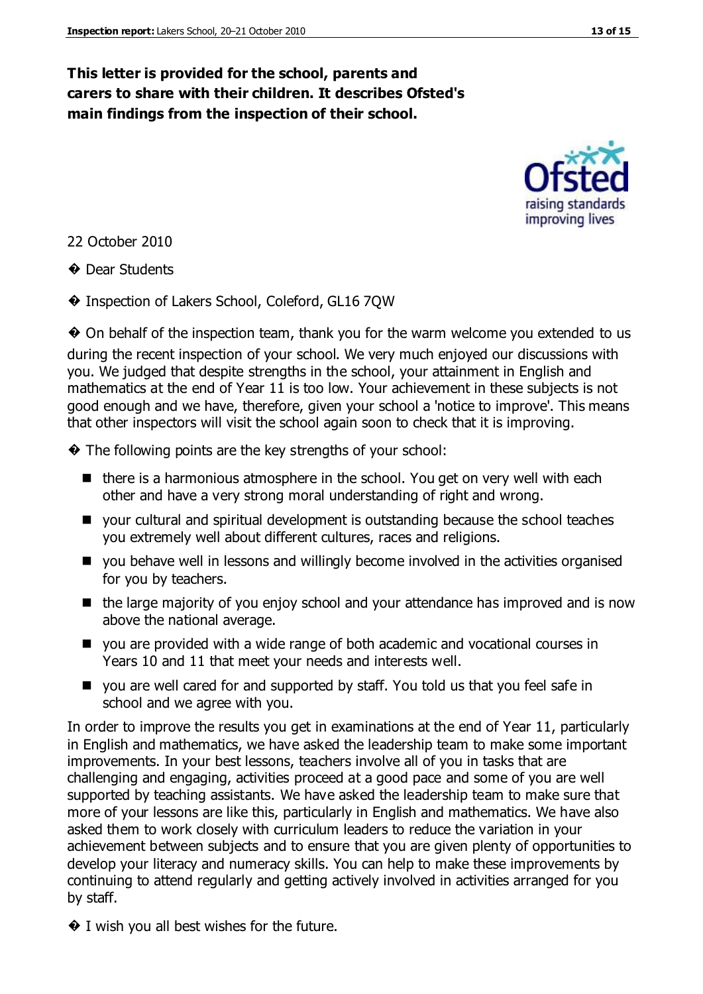## **This letter is provided for the school, parents and carers to share with their children. It describes Ofsted's main findings from the inspection of their school.**



22 October 2010

**♦ Dear Students** 

� Inspection of Lakers School, Coleford, GL16 7QW

� On behalf of the inspection team, thank you for the warm welcome you extended to us during the recent inspection of your school. We very much enjoyed our discussions with you. We judged that despite strengths in the school, your attainment in English and mathematics at the end of Year 11 is too low. Your achievement in these subjects is not good enough and we have, therefore, given your school a 'notice to improve'. This means that other inspectors will visit the school again soon to check that it is improving.

� The following points are the key strengths of your school:

- $\blacksquare$  there is a harmonious atmosphere in the school. You get on very well with each other and have a very strong moral understanding of right and wrong.
- your cultural and spiritual development is outstanding because the school teaches you extremely well about different cultures, races and religions.
- you behave well in lessons and willingly become involved in the activities organised for you by teachers.
- $\blacksquare$  the large majority of you enjoy school and your attendance has improved and is now above the national average.
- you are provided with a wide range of both academic and vocational courses in Years 10 and 11 that meet your needs and interests well.
- you are well cared for and supported by staff. You told us that you feel safe in school and we agree with you.

In order to improve the results you get in examinations at the end of Year 11, particularly in English and mathematics, we have asked the leadership team to make some important improvements. In your best lessons, teachers involve all of you in tasks that are challenging and engaging, activities proceed at a good pace and some of you are well supported by teaching assistants. We have asked the leadership team to make sure that more of your lessons are like this, particularly in English and mathematics. We have also asked them to work closely with curriculum leaders to reduce the variation in your achievement between subjects and to ensure that you are given plenty of opportunities to develop your literacy and numeracy skills. You can help to make these improvements by continuing to attend regularly and getting actively involved in activities arranged for you by staff.

 $\bullet$  I wish you all best wishes for the future.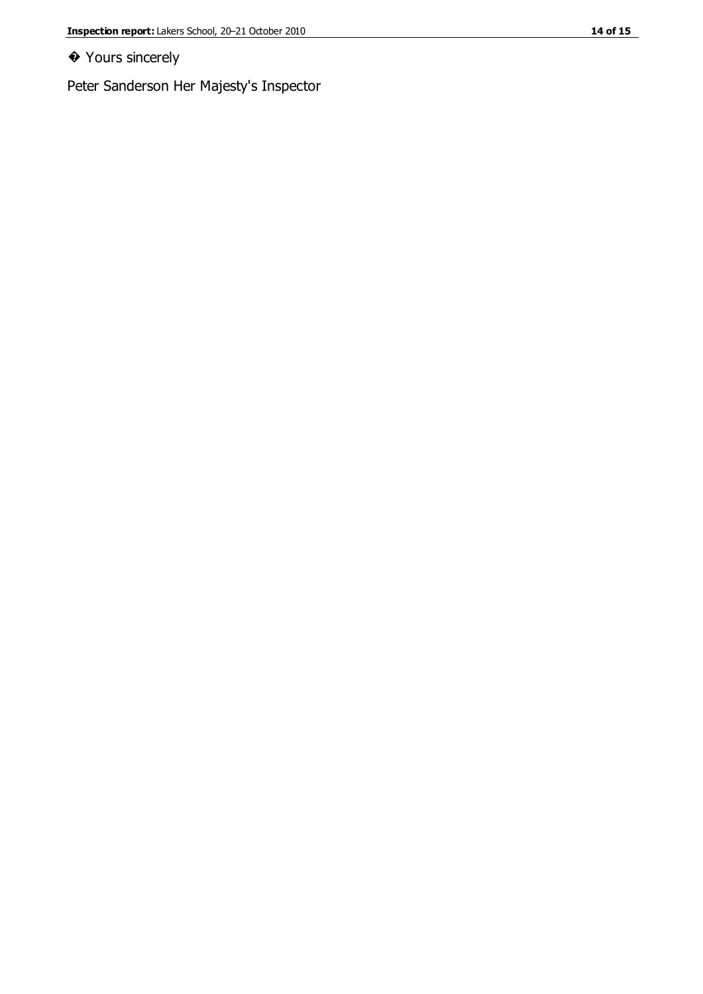#### ◆ Yours sincerely

Peter Sanderson Her Majesty's Inspector